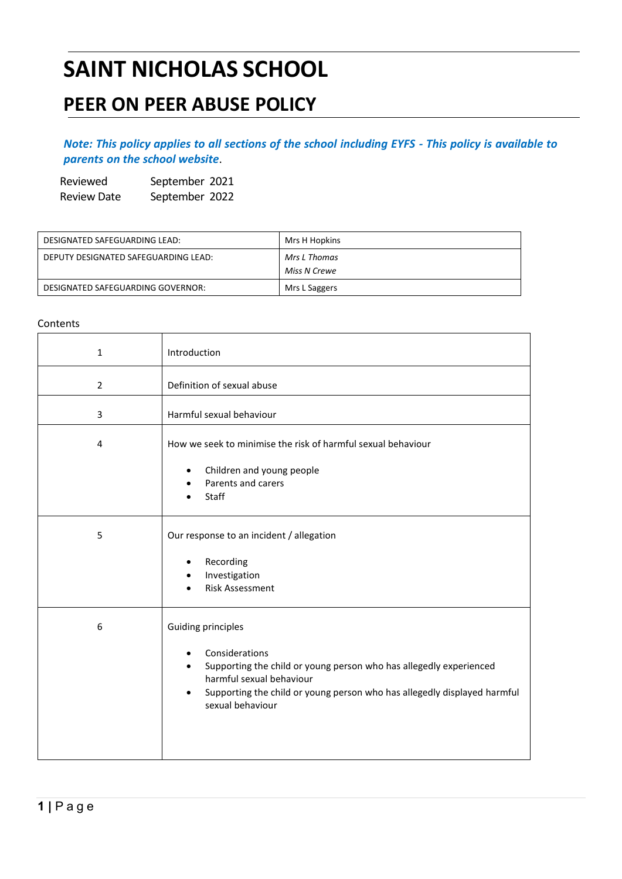# **SAINT NICHOLAS SCHOOL**

## **PEER ON PEER ABUSE POLICY**

### Note: This policy applies to all sections of the school including EYFS - This policy is available to *parents on the school [website](http://www.saintnicholasschool.net/policies.html)*.

Reviewed September 2021 Review Date September 2022

| DESIGNATED SAFEGUARDING LEAD:        | Mrs H Hopkins |
|--------------------------------------|---------------|
| DEPUTY DESIGNATED SAFEGUARDING LEAD: | Mrs L Thomas  |
|                                      | Miss N Crewe  |
| DESIGNATED SAFEGUARDING GOVERNOR:    | Mrs L Saggers |

#### **Contents**

| $\mathbf{1}$ | Introduction                                                                                                                                                                                                                                                                 |
|--------------|------------------------------------------------------------------------------------------------------------------------------------------------------------------------------------------------------------------------------------------------------------------------------|
| 2            | Definition of sexual abuse                                                                                                                                                                                                                                                   |
| 3            | Harmful sexual behaviour                                                                                                                                                                                                                                                     |
| 4            | How we seek to minimise the risk of harmful sexual behaviour                                                                                                                                                                                                                 |
|              | Children and young people<br>$\bullet$<br>Parents and carers<br><b>Staff</b>                                                                                                                                                                                                 |
| 5            | Our response to an incident / allegation<br>Recording<br>٠<br>Investigation<br>$\bullet$<br><b>Risk Assessment</b>                                                                                                                                                           |
| 6            | <b>Guiding principles</b><br>Considerations<br>٠<br>Supporting the child or young person who has allegedly experienced<br>$\bullet$<br>harmful sexual behaviour<br>Supporting the child or young person who has allegedly displayed harmful<br>$\bullet$<br>sexual behaviour |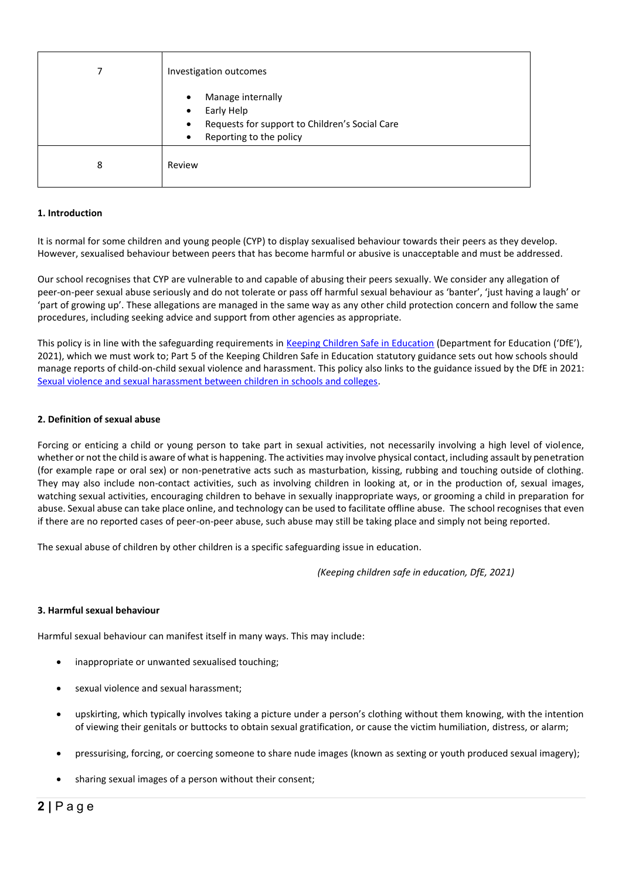|   | Investigation outcomes                                                                                                                                           |
|---|------------------------------------------------------------------------------------------------------------------------------------------------------------------|
|   | Manage internally<br>$\bullet$<br>Early Help<br>$\bullet$<br>Requests for support to Children's Social Care<br>$\bullet$<br>Reporting to the policy<br>$\bullet$ |
| 8 | Review                                                                                                                                                           |

#### **1. Introduction**

It is normal for some children and young people (CYP) to display sexualised behaviour towards their peers as they develop. However, sexualised behaviour between peers that has become harmful or abusive is unacceptable and must be addressed.

Our school recognises that CYP are vulnerable to and capable of abusing their peers sexually. We consider any allegation of peer-on-peer sexual abuse seriously and do not tolerate or pass off harmful sexual behaviour as 'banter', 'just having a laugh' or 'part of growing up'. These allegations are managed in the same way as any other child protection concern and follow the same procedures, including seeking advice and support from other agencies as appropriate.

This policy is in line with the safeguarding requirements in [Keeping Children Safe in Education](https://eur02.safelinks.protection.outlook.com/?url=https%3A%2F%2Fassets.publishing.service.gov.uk%2Fgovernment%2Fuploads%2Fsystem%2Fuploads%2Fattachment_data%2Ffile%2F954314%2FKeeping_children_safe_in_education_2020_-_Update_-_January_2021.pdf&data=04%7C01%7C%7Cf2e9fff87b2149eb72d208d8fe84ac80%7Ca8b4324f155c4215a0f17ed8cc9a992f%7C0%7C0%7C637539193225028841%7CUnknown%7CTWFpbGZsb3d8eyJWIjoiMC4wLjAwMDAiLCJQIjoiV2luMzIiLCJBTiI6Ik1haWwiLCJXVCI6Mn0%3D%7C1000&sdata=VnfJGiVrh%2BweNNu%2BiwjdcWv8RJzWF6EvSn1d8NGC7oE%3D&reserved=0) (Department for Education ('DfE'), 2021), which we must work to; Part 5 of the Keeping Children Safe in Education statutory guidance sets out how schools should manage reports of child-on-child sexual violence and harassment. This policy also links to the guidance issued by the DfE in 2021: [Sexual violence and sexual harassment between children in schools and colleges.](https://eur02.safelinks.protection.outlook.com/?url=https%3A%2F%2Fwww.gov.uk%2Fgovernment%2Fpublications%2Fsexual-violence-and-sexual-harassment-between-children-in-schools-and-colleges&data=04%7C01%7C%7Cf2e9fff87b2149eb72d208d8fe84ac80%7Ca8b4324f155c4215a0f17ed8cc9a992f%7C0%7C0%7C637539193225038798%7CUnknown%7CTWFpbGZsb3d8eyJWIjoiMC4wLjAwMDAiLCJQIjoiV2luMzIiLCJBTiI6Ik1haWwiLCJXVCI6Mn0%3D%7C1000&sdata=ZYrHV9%2FJUndIMjNVX505sSFT9UICMSs637uOd9Oag4Q%3D&reserved=0)

#### **2. Definition of sexual abuse**

Forcing or enticing a child or young person to take part in sexual activities, not necessarily involving a high level of violence, whether or not the child is aware of what is happening. The activities may involve physical contact, including assault by penetration (for example rape or oral sex) or non-penetrative acts such as masturbation, kissing, rubbing and touching outside of clothing. They may also include non-contact activities, such as involving children in looking at, or in the production of, sexual images, watching sexual activities, encouraging children to behave in sexually inappropriate ways, or grooming a child in preparation for abuse. Sexual abuse can take place online, and technology can be used to facilitate offline abuse. The school recognises that even if there are no reported cases of peer-on-peer abuse, such abuse may still be taking place and simply not being reported.

The sexual abuse of children by other children is a specific safeguarding issue in education.

*(Keeping children safe in education, DfE, 2021)*

#### **3. Harmful sexual behaviour**

Harmful sexual behaviour can manifest itself in many ways. This may include:

- inappropriate or unwanted sexualised touching;
- sexual violence and sexual harassment;
- upskirting, which typically involves taking a picture under a person's clothing without them knowing, with the intention of viewing their genitals or buttocks to obtain sexual gratification, or cause the victim humiliation, distress, or alarm;
- pressurising, forcing, or coercing someone to share nude images (known as sexting or youth produced sexual imagery);
- sharing sexual images of a person without their consent;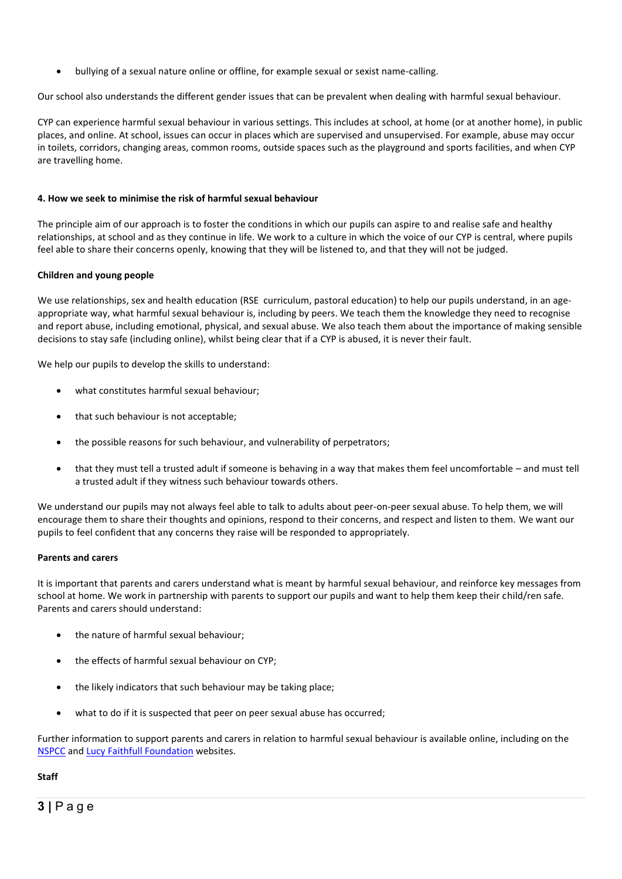• bullying of a sexual nature online or offline, for example sexual or sexist name-calling.

Our school also understands the different gender issues that can be prevalent when dealing with harmful sexual behaviour.

CYP can experience harmful sexual behaviour in various settings. This includes at school, at home (or at another home), in public places, and online. At school, issues can occur in places which are supervised and unsupervised. For example, abuse may occur in toilets, corridors, changing areas, common rooms, outside spaces such as the playground and sports facilities, and when CYP are travelling home.

#### **4. How we seek to minimise the risk of harmful sexual behaviour**

The principle aim of our approach is to foster the conditions in which our pupils can aspire to and realise safe and healthy relationships, at school and as they continue in life. We work to a culture in which the voice of our CYP is central, where pupils feel able to share their concerns openly, knowing that they will be listened to, and that they will not be judged.

#### **Children and young people**

We use relationships, sex and health education (RSE curriculum, pastoral education) to help our pupils understand, in an ageappropriate way, what harmful sexual behaviour is, including by peers. We teach them the knowledge they need to recognise and report abuse, including emotional, physical, and sexual abuse. We also teach them about the importance of making sensible decisions to stay safe (including online), whilst being clear that if a CYP is abused, it is never their fault.

We help our pupils to develop the skills to understand:

- what constitutes harmful sexual behaviour;
- that such behaviour is not acceptable;
- the possible reasons for such behaviour, and vulnerability of perpetrators;
- that they must tell a trusted adult if someone is behaving in a way that makes them feel uncomfortable and must tell a trusted adult if they witness such behaviour towards others.

We understand our pupils may not always feel able to talk to adults about peer-on-peer sexual abuse. To help them, we will encourage them to share their thoughts and opinions, respond to their concerns, and respect and listen to them. We want our pupils to feel confident that any concerns they raise will be responded to appropriately.

#### **Parents and carers**

It is important that parents and carers understand what is meant by harmful sexual behaviour, and reinforce key messages from school at home. We work in partnership with parents to support our pupils and want to help them keep their child/ren safe. Parents and carers should understand:

- the nature of harmful sexual behaviour;
- the effects of harmful sexual behaviour on CYP;
- the likely indicators that such behaviour may be taking place;
- what to do if it is suspected that peer on peer sexual abuse has occurred;

Further information to support parents and carers in relation to harmful sexual behaviour is available online, including on the [NSPCC](https://www.nspcc.org.uk/what-is-child-abuse/types-of-abuse/child-sexual-abuse/#support) an[d Lucy Faithfull Foundation](https://www.lucyfaithfull.org.uk/parents-protect.htm) websites.

#### **Staff**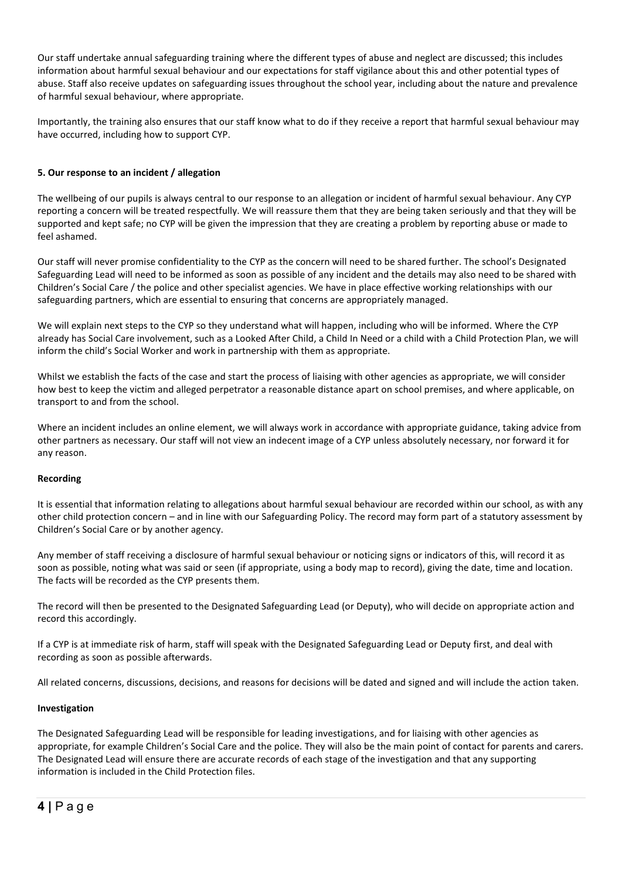Our staff undertake annual safeguarding training where the different types of abuse and neglect are discussed; this includes information about harmful sexual behaviour and our expectations for staff vigilance about this and other potential types of abuse. Staff also receive updates on safeguarding issues throughout the school year, including about the nature and prevalence of harmful sexual behaviour, where appropriate.

Importantly, the training also ensures that our staff know what to do if they receive a report that harmful sexual behaviour may have occurred, including how to support CYP.

#### **5. Our response to an incident / allegation**

The wellbeing of our pupils is always central to our response to an allegation or incident of harmful sexual behaviour. Any CYP reporting a concern will be treated respectfully. We will reassure them that they are being taken seriously and that they will be supported and kept safe; no CYP will be given the impression that they are creating a problem by reporting abuse or made to feel ashamed.

Our staff will never promise confidentiality to the CYP as the concern will need to be shared further. The school's Designated Safeguarding Lead will need to be informed as soon as possible of any incident and the details may also need to be shared with Children's Social Care / the police and other specialist agencies. We have in place effective working relationships with our safeguarding partners, which are essential to ensuring that concerns are appropriately managed.

We will explain next steps to the CYP so they understand what will happen, including who will be informed. Where the CYP already has Social Care involvement, such as a Looked After Child, a Child In Need or a child with a Child Protection Plan, we will inform the child's Social Worker and work in partnership with them as appropriate.

Whilst we establish the facts of the case and start the process of liaising with other agencies as appropriate, we will consider how best to keep the victim and alleged perpetrator a reasonable distance apart on school premises, and where applicable, on transport to and from the school.

Where an incident includes an online element, we will always work in accordance with appropriate guidance, taking advice from other partners as necessary. Our staff will not view an indecent image of a CYP unless absolutely necessary, nor forward it for any reason.

#### **Recording**

It is essential that information relating to allegations about harmful sexual behaviour are recorded within our school, as with any other child protection concern – and in line with our Safeguarding Policy. The record may form part of a statutory assessment by Children's Social Care or by another agency.

Any member of staff receiving a disclosure of harmful sexual behaviour or noticing signs or indicators of this, will record it as soon as possible, noting what was said or seen (if appropriate, using a body map to record), giving the date, time and location. The facts will be recorded as the CYP presents them.

The record will then be presented to the Designated Safeguarding Lead (or Deputy), who will decide on appropriate action and record this accordingly.

If a CYP is at immediate risk of harm, staff will speak with the Designated Safeguarding Lead or Deputy first, and deal with recording as soon as possible afterwards.

All related concerns, discussions, decisions, and reasons for decisions will be dated and signed and will include the action taken.

#### **Investigation**

The Designated Safeguarding Lead will be responsible for leading investigations, and for liaising with other agencies as appropriate, for example Children's Social Care and the police. They will also be the main point of contact for parents and carers. The Designated Lead will ensure there are accurate records of each stage of the investigation and that any supporting information is included in the Child Protection files.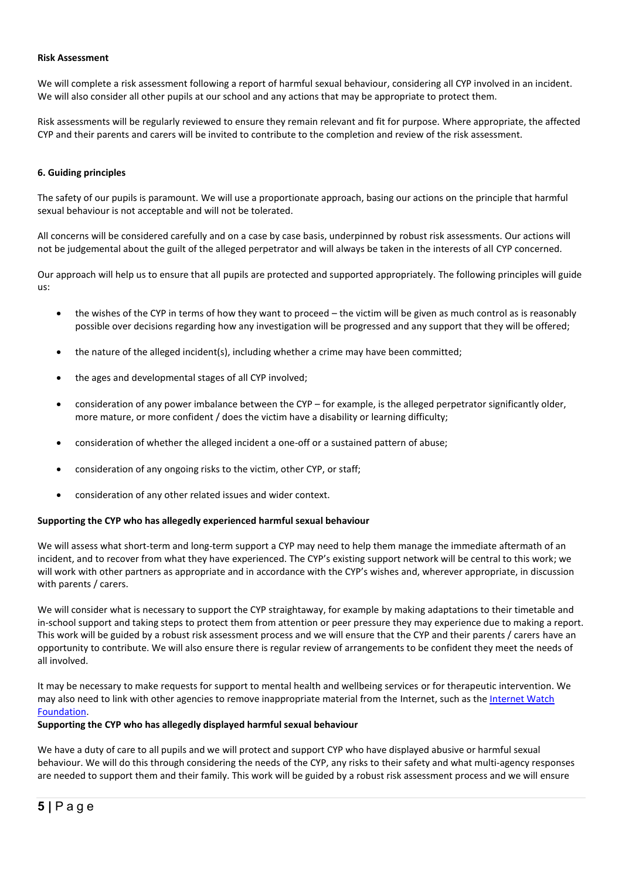#### **Risk Assessment**

We will complete a risk assessment following a report of harmful sexual behaviour, considering all CYP involved in an incident. We will also consider all other pupils at our school and any actions that may be appropriate to protect them.

Risk assessments will be regularly reviewed to ensure they remain relevant and fit for purpose. Where appropriate, the affected CYP and their parents and carers will be invited to contribute to the completion and review of the risk assessment.

#### **6. Guiding principles**

The safety of our pupils is paramount. We will use a proportionate approach, basing our actions on the principle that harmful sexual behaviour is not acceptable and will not be tolerated.

All concerns will be considered carefully and on a case by case basis, underpinned by robust risk assessments. Our actions will not be judgemental about the guilt of the alleged perpetrator and will always be taken in the interests of all CYP concerned.

Our approach will help us to ensure that all pupils are protected and supported appropriately. The following principles will guide us:

- the wishes of the CYP in terms of how they want to proceed the victim will be given as much control as is reasonably possible over decisions regarding how any investigation will be progressed and any support that they will be offered;
- the nature of the alleged incident(s), including whether a crime may have been committed;
- the ages and developmental stages of all CYP involved;
- consideration of any power imbalance between the CYP for example, is the alleged perpetrator significantly older, more mature, or more confident / does the victim have a disability or learning difficulty;
- consideration of whether the alleged incident a one-off or a sustained pattern of abuse;
- consideration of any ongoing risks to the victim, other CYP, or staff;
- consideration of any other related issues and wider context.

#### **Supporting the CYP who has allegedly experienced harmful sexual behaviour**

We will assess what short-term and long-term support a CYP may need to help them manage the immediate aftermath of an incident, and to recover from what they have experienced. The CYP's existing support network will be central to this work; we will work with other partners as appropriate and in accordance with the CYP's wishes and, wherever appropriate, in discussion with parents / carers.

We will consider what is necessary to support the CYP straightaway, for example by making adaptations to their timetable and in-school support and taking steps to protect them from attention or peer pressure they may experience due to making a report. This work will be guided by a robust risk assessment process and we will ensure that the CYP and their parents / carers have an opportunity to contribute. We will also ensure there is regular review of arrangements to be confident they meet the needs of all involved.

It may be necessary to make requests for support to mental health and wellbeing services or for therapeutic intervention. We may also need to link with other agencies to remove inappropriate material from the Internet, such as the Internet Watch [Foundation.](https://www.iwf.org.uk/)

#### **Supporting the CYP who has allegedly displayed harmful sexual behaviour**

We have a duty of care to all pupils and we will protect and support CYP who have displayed abusive or harmful sexual behaviour. We will do this through considering the needs of the CYP, any risks to their safety and what multi-agency responses are needed to support them and their family. This work will be guided by a robust risk assessment process and we will ensure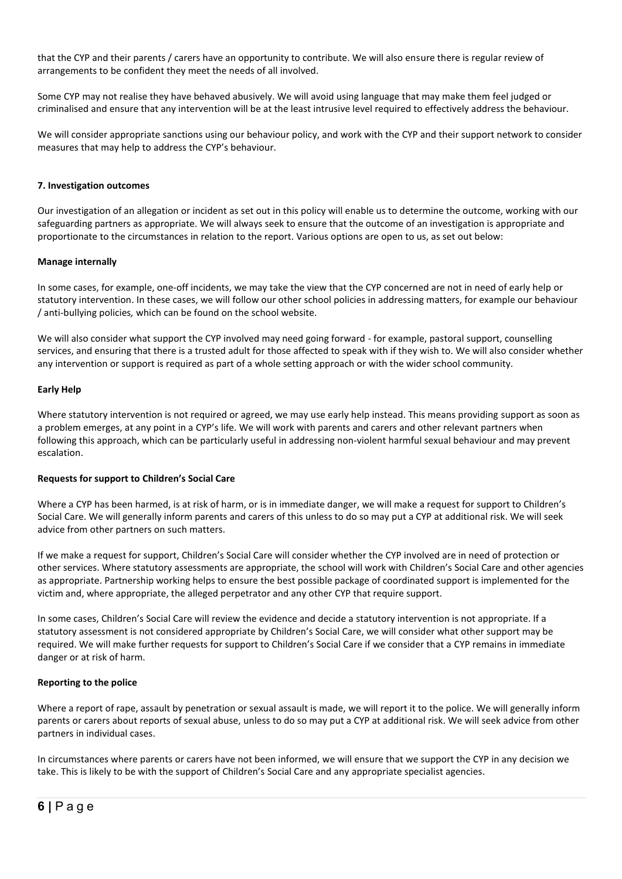that the CYP and their parents / carers have an opportunity to contribute. We will also ensure there is regular review of arrangements to be confident they meet the needs of all involved.

Some CYP may not realise they have behaved abusively. We will avoid using language that may make them feel judged or criminalised and ensure that any intervention will be at the least intrusive level required to effectively address the behaviour.

We will consider appropriate sanctions using our behaviour policy, and work with the CYP and their support network to consider measures that may help to address the CYP's behaviour.

#### **7. Investigation outcomes**

Our investigation of an allegation or incident as set out in this policy will enable us to determine the outcome, working with our safeguarding partners as appropriate. We will always seek to ensure that the outcome of an investigation is appropriate and proportionate to the circumstances in relation to the report. Various options are open to us, as set out below:

#### **Manage internally**

In some cases, for example, one-off incidents, we may take the view that the CYP concerned are not in need of early help or statutory intervention. In these cases, we will follow our other school policies in addressing matters, for example our behaviour / anti-bullying policies*,* which can be found on the school website.

We will also consider what support the CYP involved may need going forward - for example, pastoral support, counselling services, and ensuring that there is a trusted adult for those affected to speak with if they wish to. We will also consider whether any intervention or support is required as part of a whole setting approach or with the wider school community.

#### **Early Help**

Where statutory intervention is not required or agreed, we may use early help instead. This means providing support as soon as a problem emerges, at any point in a CYP's life. We will work with parents and carers and other relevant partners when following this approach, which can be particularly useful in addressing non-violent harmful sexual behaviour and may prevent escalation.

#### **Requests for support to Children's Social Care**

Where a CYP has been harmed, is at risk of harm, or is in immediate danger, we will make a request for support to Children's Social Care. We will generally inform parents and carers of this unless to do so may put a CYP at additional risk. We will seek advice from other partners on such matters.

If we make a request for support, Children's Social Care will consider whether the CYP involved are in need of protection or other services. Where statutory assessments are appropriate, the school will work with Children's Social Care and other agencies as appropriate. Partnership working helps to ensure the best possible package of coordinated support is implemented for the victim and, where appropriate, the alleged perpetrator and any other CYP that require support.

In some cases, Children's Social Care will review the evidence and decide a statutory intervention is not appropriate. If a statutory assessment is not considered appropriate by Children's Social Care, we will consider what other support may be required. We will make further requests for support to Children's Social Care if we consider that a CYP remains in immediate danger or at risk of harm.

#### **Reporting to the police**

Where a report of rape, assault by penetration or sexual assault is made, we will report it to the police. We will generally inform parents or carers about reports of sexual abuse, unless to do so may put a CYP at additional risk. We will seek advice from other partners in individual cases.

In circumstances where parents or carers have not been informed, we will ensure that we support the CYP in any decision we take. This is likely to be with the support of Children's Social Care and any appropriate specialist agencies.